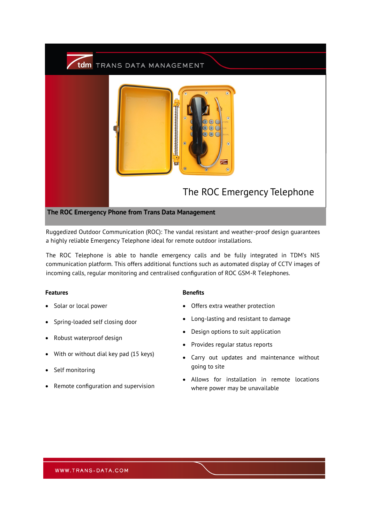

Ruggedized Outdoor Communication (ROC): The vandal resistant and weather-proof design guarantees a highly reliable Emergency Telephone ideal for remote outdoor installations.

The ROC Telephone is able to handle emergency calls and be fully integrated in TDM's NIS communication platform. This offers additional functions such as automated display of CCTV images of incoming calls, regular monitoring and centralised configuration of ROC GSM-R Telephones.

### **Features Benefits**

- Solar or local power
- Spring-loaded self closing door
- Robust waterproof design
- With or without dial key pad (15 keys)
- Self monitoring
- Remote configuration and supervision

- Offers extra weather protection
- Long-lasting and resistant to damage
- Design options to suit application
- Provides regular status reports
- Carry out updates and maintenance without going to site
- Allows for installation in remote locations where power may be unavailable